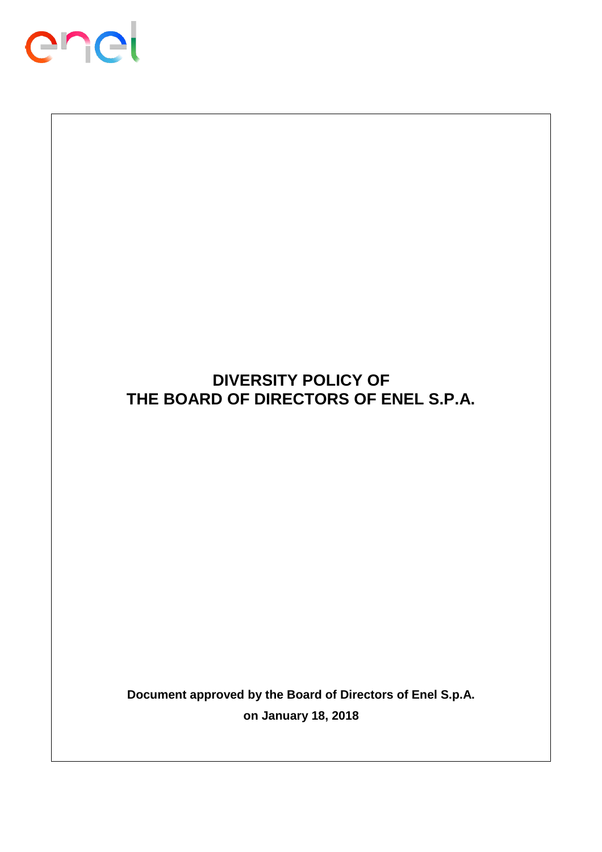

# **DIVERSITY POLICY OF THE BOARD OF DIRECTORS OF ENEL S.P.A.**

**Document approved by the Board of Directors of Enel S.p.A. on January 18, 2018**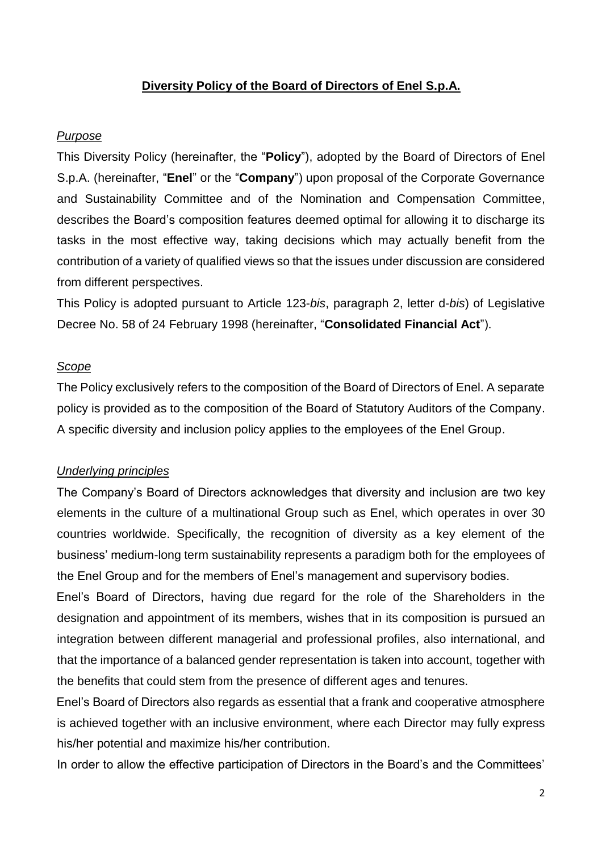## **Diversity Policy of the Board of Directors of Enel S.p.A.**

## *Purpose*

This Diversity Policy (hereinafter, the "**Policy**"), adopted by the Board of Directors of Enel S.p.A. (hereinafter, "**Enel**" or the "**Company**") upon proposal of the Corporate Governance and Sustainability Committee and of the Nomination and Compensation Committee, describes the Board's composition features deemed optimal for allowing it to discharge its tasks in the most effective way, taking decisions which may actually benefit from the contribution of a variety of qualified views so that the issues under discussion are considered from different perspectives.

This Policy is adopted pursuant to Article 123-*bis*, paragraph 2, letter d-*bis*) of Legislative Decree No. 58 of 24 February 1998 (hereinafter, "**Consolidated Financial Act**").

#### *Scope*

The Policy exclusively refers to the composition of the Board of Directors of Enel. A separate policy is provided as to the composition of the Board of Statutory Auditors of the Company. A specific diversity and inclusion policy applies to the employees of the Enel Group.

#### *Underlying principles*

The Company's Board of Directors acknowledges that diversity and inclusion are two key elements in the culture of a multinational Group such as Enel, which operates in over 30 countries worldwide. Specifically, the recognition of diversity as a key element of the business' medium-long term sustainability represents a paradigm both for the employees of the Enel Group and for the members of Enel's management and supervisory bodies.

Enel's Board of Directors, having due regard for the role of the Shareholders in the designation and appointment of its members, wishes that in its composition is pursued an integration between different managerial and professional profiles, also international, and that the importance of a balanced gender representation is taken into account, together with the benefits that could stem from the presence of different ages and tenures.

Enel's Board of Directors also regards as essential that a frank and cooperative atmosphere is achieved together with an inclusive environment, where each Director may fully express his/her potential and maximize his/her contribution.

In order to allow the effective participation of Directors in the Board's and the Committees'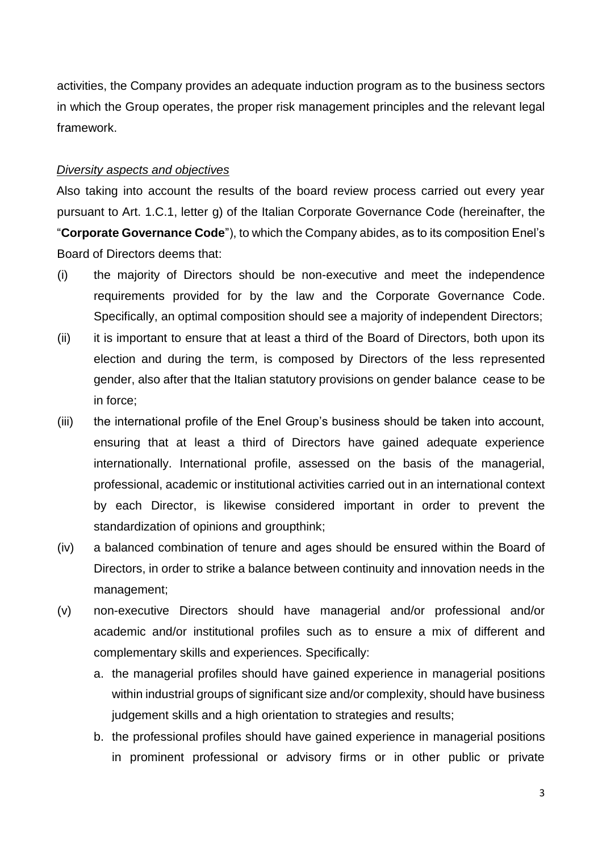activities, the Company provides an adequate induction program as to the business sectors in which the Group operates, the proper risk management principles and the relevant legal framework.

#### *Diversity aspects and objectives*

Also taking into account the results of the board review process carried out every year pursuant to Art. 1.C.1, letter g) of the Italian Corporate Governance Code (hereinafter, the "**Corporate Governance Code**"), to which the Company abides, as to its composition Enel's Board of Directors deems that:

- (i) the majority of Directors should be non-executive and meet the independence requirements provided for by the law and the Corporate Governance Code. Specifically, an optimal composition should see a majority of independent Directors;
- (ii) it is important to ensure that at least a third of the Board of Directors, both upon its election and during the term, is composed by Directors of the less represented gender, also after that the Italian statutory provisions on gender balance cease to be in force;
- (iii) the international profile of the Enel Group's business should be taken into account, ensuring that at least a third of Directors have gained adequate experience internationally. International profile, assessed on the basis of the managerial, professional, academic or institutional activities carried out in an international context by each Director, is likewise considered important in order to prevent the standardization of opinions and groupthink;
- (iv) a balanced combination of tenure and ages should be ensured within the Board of Directors, in order to strike a balance between continuity and innovation needs in the management;
- (v) non-executive Directors should have managerial and/or professional and/or academic and/or institutional profiles such as to ensure a mix of different and complementary skills and experiences. Specifically:
	- a. the managerial profiles should have gained experience in managerial positions within industrial groups of significant size and/or complexity, should have business judgement skills and a high orientation to strategies and results;
	- b. the professional profiles should have gained experience in managerial positions in prominent professional or advisory firms or in other public or private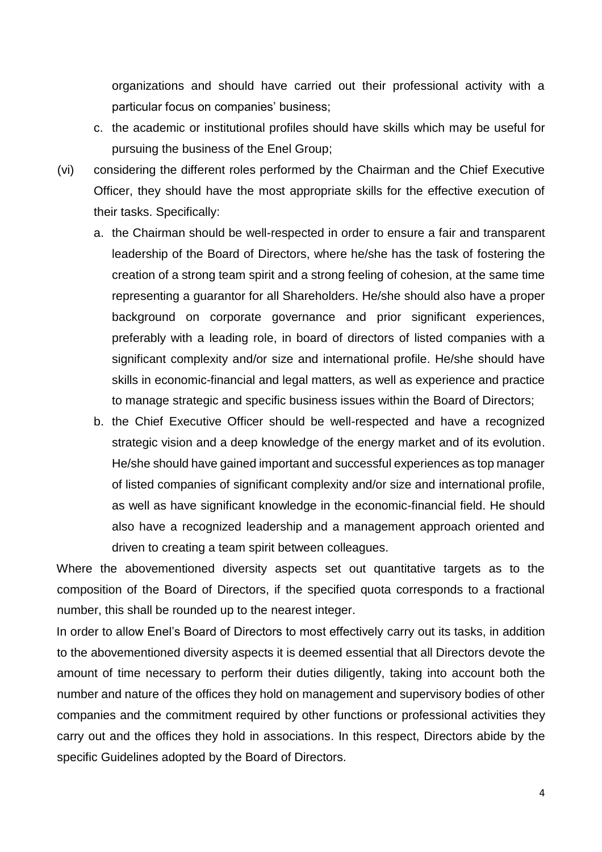organizations and should have carried out their professional activity with a particular focus on companies' business;

- c. the academic or institutional profiles should have skills which may be useful for pursuing the business of the Enel Group;
- (vi) considering the different roles performed by the Chairman and the Chief Executive Officer, they should have the most appropriate skills for the effective execution of their tasks. Specifically:
	- a. the Chairman should be well-respected in order to ensure a fair and transparent leadership of the Board of Directors, where he/she has the task of fostering the creation of a strong team spirit and a strong feeling of cohesion, at the same time representing a guarantor for all Shareholders. He/she should also have a proper background on corporate governance and prior significant experiences, preferably with a leading role, in board of directors of listed companies with a significant complexity and/or size and international profile. He/she should have skills in economic-financial and legal matters, as well as experience and practice to manage strategic and specific business issues within the Board of Directors;
	- b. the Chief Executive Officer should be well-respected and have a recognized strategic vision and a deep knowledge of the energy market and of its evolution. He/she should have gained important and successful experiences as top manager of listed companies of significant complexity and/or size and international profile, as well as have significant knowledge in the economic-financial field. He should also have a recognized leadership and a management approach oriented and driven to creating a team spirit between colleagues.

Where the abovementioned diversity aspects set out quantitative targets as to the composition of the Board of Directors, if the specified quota corresponds to a fractional number, this shall be rounded up to the nearest integer.

In order to allow Enel's Board of Directors to most effectively carry out its tasks, in addition to the abovementioned diversity aspects it is deemed essential that all Directors devote the amount of time necessary to perform their duties diligently, taking into account both the number and nature of the offices they hold on management and supervisory bodies of other companies and the commitment required by other functions or professional activities they carry out and the offices they hold in associations. In this respect, Directors abide by the specific Guidelines adopted by the Board of Directors.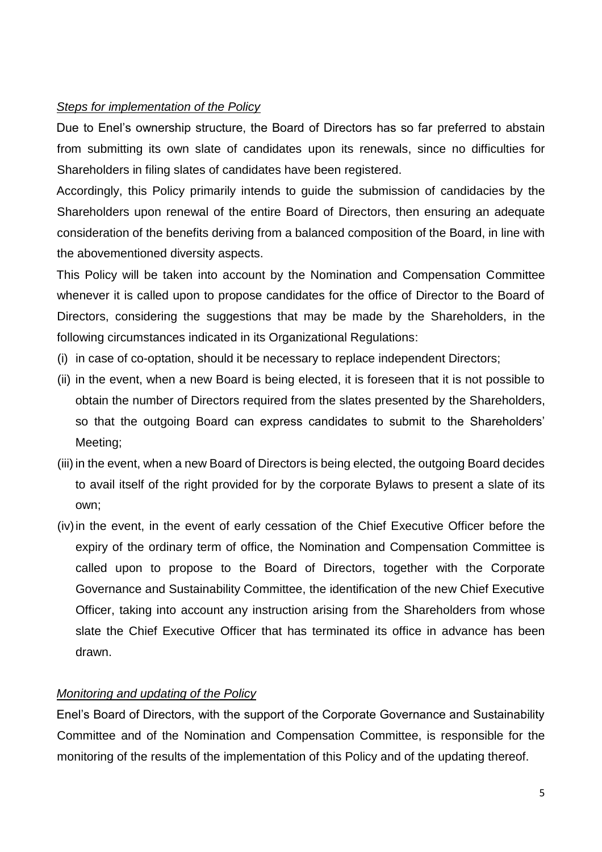#### *Steps for implementation of the Policy*

Due to Enel's ownership structure, the Board of Directors has so far preferred to abstain from submitting its own slate of candidates upon its renewals, since no difficulties for Shareholders in filing slates of candidates have been registered.

Accordingly, this Policy primarily intends to guide the submission of candidacies by the Shareholders upon renewal of the entire Board of Directors, then ensuring an adequate consideration of the benefits deriving from a balanced composition of the Board, in line with the abovementioned diversity aspects.

This Policy will be taken into account by the Nomination and Compensation Committee whenever it is called upon to propose candidates for the office of Director to the Board of Directors, considering the suggestions that may be made by the Shareholders, in the following circumstances indicated in its Organizational Regulations:

- (i) in case of co-optation, should it be necessary to replace independent Directors;
- (ii) in the event, when a new Board is being elected, it is foreseen that it is not possible to obtain the number of Directors required from the slates presented by the Shareholders, so that the outgoing Board can express candidates to submit to the Shareholders' Meeting;
- (iii) in the event, when a new Board of Directors is being elected, the outgoing Board decides to avail itself of the right provided for by the corporate Bylaws to present a slate of its own;
- (iv)in the event, in the event of early cessation of the Chief Executive Officer before the expiry of the ordinary term of office, the Nomination and Compensation Committee is called upon to propose to the Board of Directors, together with the Corporate Governance and Sustainability Committee, the identification of the new Chief Executive Officer, taking into account any instruction arising from the Shareholders from whose slate the Chief Executive Officer that has terminated its office in advance has been drawn.

#### *Monitoring and updating of the Policy*

Enel's Board of Directors, with the support of the Corporate Governance and Sustainability Committee and of the Nomination and Compensation Committee, is responsible for the monitoring of the results of the implementation of this Policy and of the updating thereof.